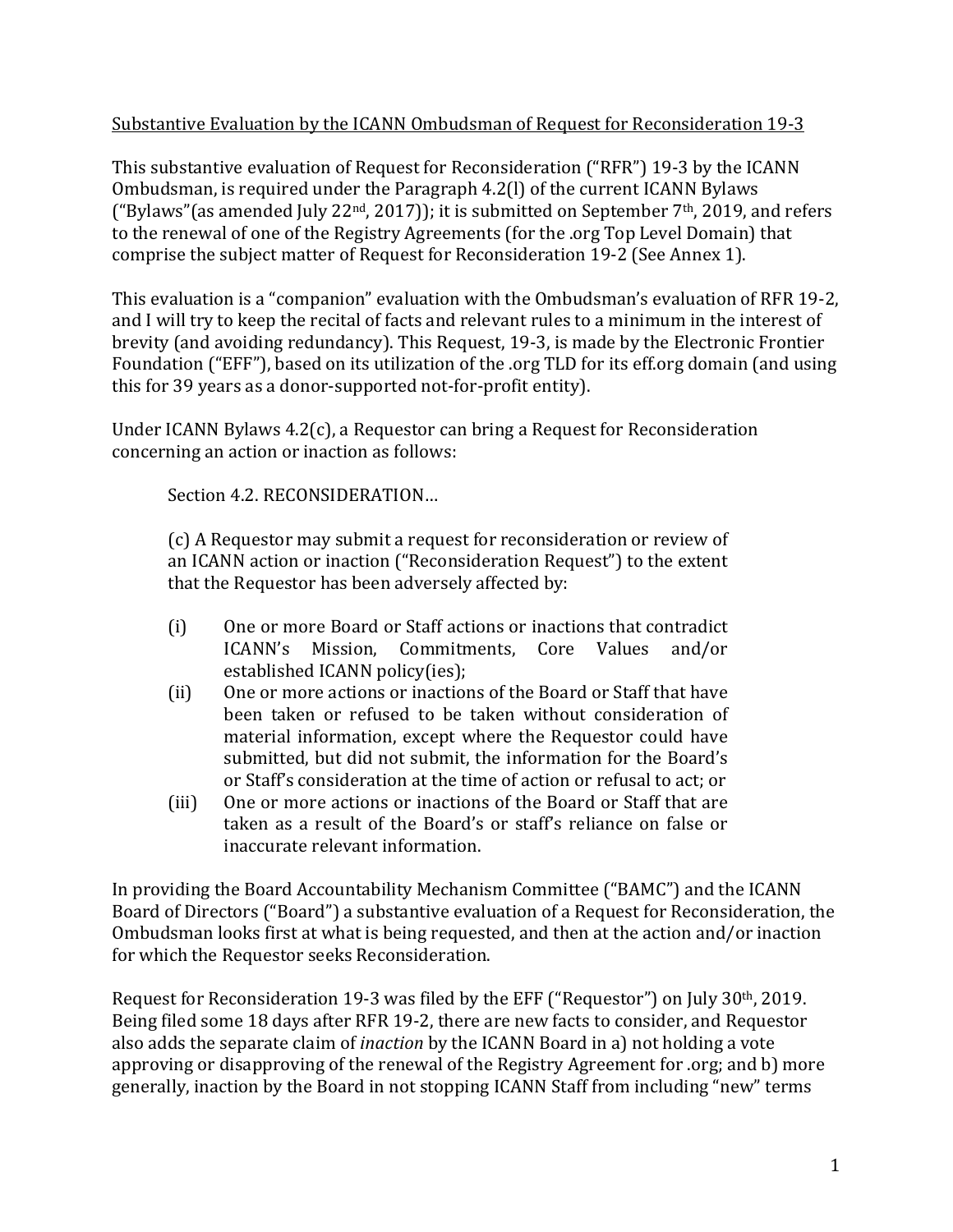### Substantive Evaluation by the ICANN Ombudsman of Request for Reconsideration 19-3

This substantive evaluation of Request for Reconsideration ("RFR") 19-3 by the ICANN Ombudsman, is required under the Paragraph 4.2(1) of the current ICANN Bylaws ("Bylaws" (as amended July 22<sup>nd</sup>, 2017)); it is submitted on September 7<sup>th</sup>, 2019, and refers to the renewal of one of the Registry Agreements (for the .org Top Level Domain) that comprise the subject matter of Request for Reconsideration 19-2 (See Annex 1).

This evaluation is a "companion" evaluation with the Ombudsman's evaluation of RFR 19-2, and I will try to keep the recital of facts and relevant rules to a minimum in the interest of brevity (and avoiding redundancy). This Request, 19-3, is made by the Electronic Frontier Foundation ("EFF"), based on its utilization of the .org TLD for its eff.org domain (and using this for 39 years as a donor-supported not-for-profit entity).

Under ICANN Bylaws  $4.2(c)$ , a Requestor can bring a Request for Reconsideration concerning an action or inaction as follows:

Section 4.2. RECONSIDERATION...

(c) A Requestor may submit a request for reconsideration or review of an ICANN action or inaction ("Reconsideration Request") to the extent that the Requestor has been adversely affected by:

- (i) One or more Board or Staff actions or inactions that contradict ICANN's Mission, Commitments, Core Values and/or established ICANN policy(ies);
- (ii) One or more actions or inactions of the Board or Staff that have been taken or refused to be taken without consideration of material information, except where the Requestor could have submitted, but did not submit, the information for the Board's or Staff's consideration at the time of action or refusal to act; or
- (iii) One or more actions or inactions of the Board or Staff that are taken as a result of the Board's or staff's reliance on false or inaccurate relevant information.

In providing the Board Accountability Mechanism Committee ("BAMC") and the ICANN Board of Directors ("Board") a substantive evaluation of a Request for Reconsideration, the Ombudsman looks first at what is being requested, and then at the action and/or inaction for which the Requestor seeks Reconsideration.

Request for Reconsideration 19-3 was filed by the EFF ("Requestor") on July 30<sup>th</sup>, 2019. Being filed some 18 days after RFR 19-2, there are new facts to consider, and Requestor also adds the separate claim of *inaction* by the ICANN Board in a) not holding a vote approving or disapproving of the renewal of the Registry Agreement for .org; and b) more generally, inaction by the Board in not stopping ICANN Staff from including "new" terms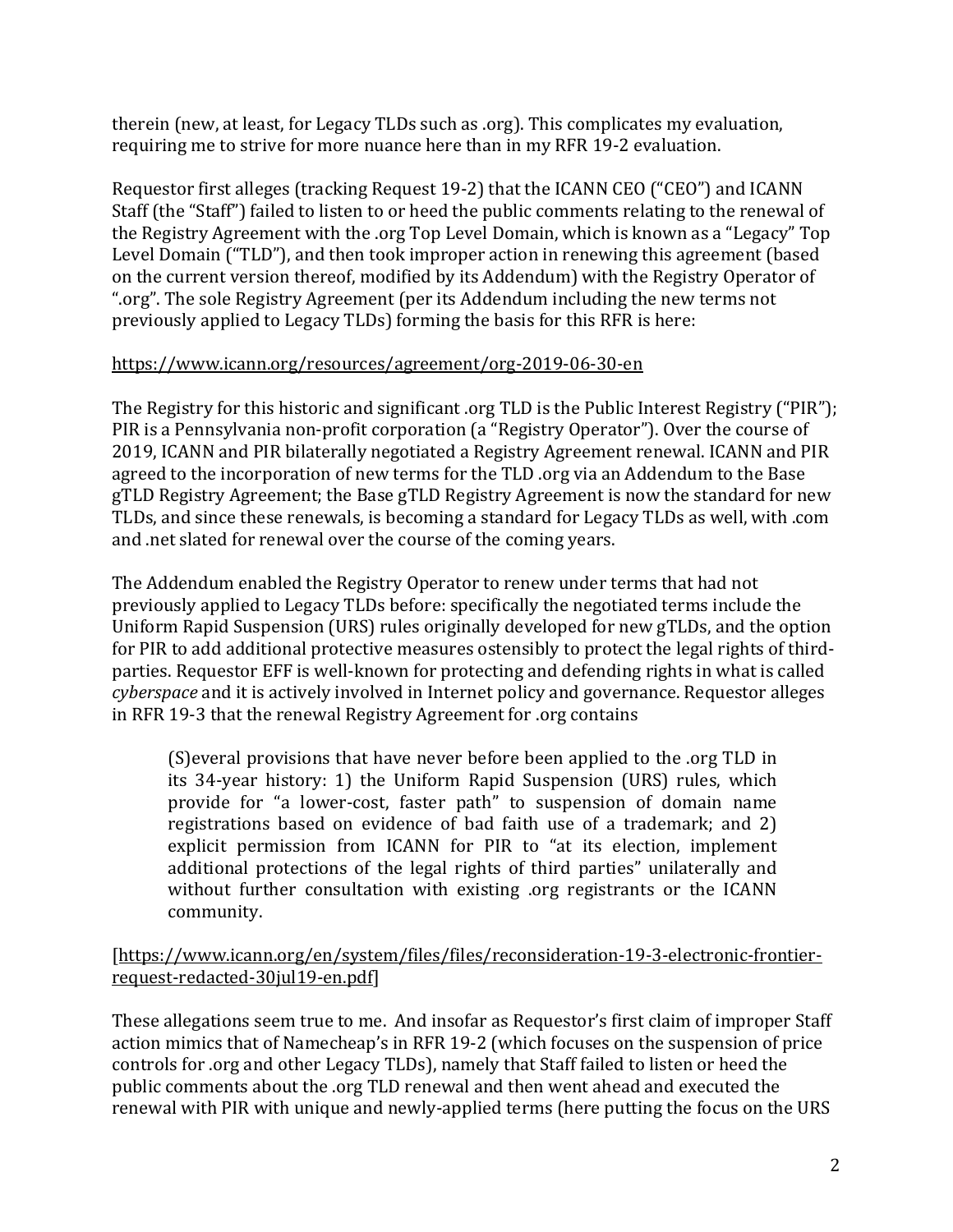therein (new, at least, for Legacy TLDs such as .org). This complicates my evaluation, requiring me to strive for more nuance here than in my RFR 19-2 evaluation.

Requestor first alleges (tracking Request 19-2) that the ICANN CEO ("CEO") and ICANN Staff (the "Staff") failed to listen to or heed the public comments relating to the renewal of the Registry Agreement with the .org Top Level Domain, which is known as a "Legacy" Top Level Domain ("TLD"), and then took improper action in renewing this agreement (based on the current version thereof, modified by its Addendum) with the Registry Operator of ".org". The sole Registry Agreement (per its Addendum including the new terms not previously applied to Legacy TLDs) forming the basis for this RFR is here:

## https://www.icann.org/resources/agreement/org-2019-06-30-en

The Registry for this historic and significant .org TLD is the Public Interest Registry ("PIR"); PIR is a Pennsylvania non-profit corporation (a "Registry Operator"). Over the course of 2019, ICANN and PIR bilaterally negotiated a Registry Agreement renewal. ICANN and PIR agreed to the incorporation of new terms for the TLD .org via an Addendum to the Base gTLD Registry Agreement; the Base gTLD Registry Agreement is now the standard for new TLDs, and since these renewals, is becoming a standard for Legacy TLDs as well, with .com and .net slated for renewal over the course of the coming years.

The Addendum enabled the Registry Operator to renew under terms that had not previously applied to Legacy TLDs before: specifically the negotiated terms include the Uniform Rapid Suspension (URS) rules originally developed for new gTLDs, and the option for PIR to add additional protective measures ostensibly to protect the legal rights of thirdparties. Requestor EFF is well-known for protecting and defending rights in what is called *cyberspace* and it is actively involved in Internet policy and governance. Requestor alleges in RFR 19-3 that the renewal Registry Agreement for .org contains

(S)everal provisions that have never before been applied to the .org TLD in its 34-year history: 1) the Uniform Rapid Suspension (URS) rules, which provide for "a lower-cost, faster path" to suspension of domain name registrations based on evidence of bad faith use of a trademark; and 2) explicit permission from ICANN for PIR to "at its election, implement additional protections of the legal rights of third parties" unilaterally and without further consultation with existing .org registrants or the ICANN community. 

#### [https://www.icann.org/en/system/files/files/reconsideration-19-3-electronic-frontierrequest-redacted-30jul19-en.pdf]

These allegations seem true to me. And insofar as Requestor's first claim of improper Staff action mimics that of Namecheap's in RFR 19-2 (which focuses on the suspension of price controls for .org and other Legacy TLDs), namely that Staff failed to listen or heed the public comments about the .org TLD renewal and then went ahead and executed the renewal with PIR with unique and newly-applied terms (here putting the focus on the URS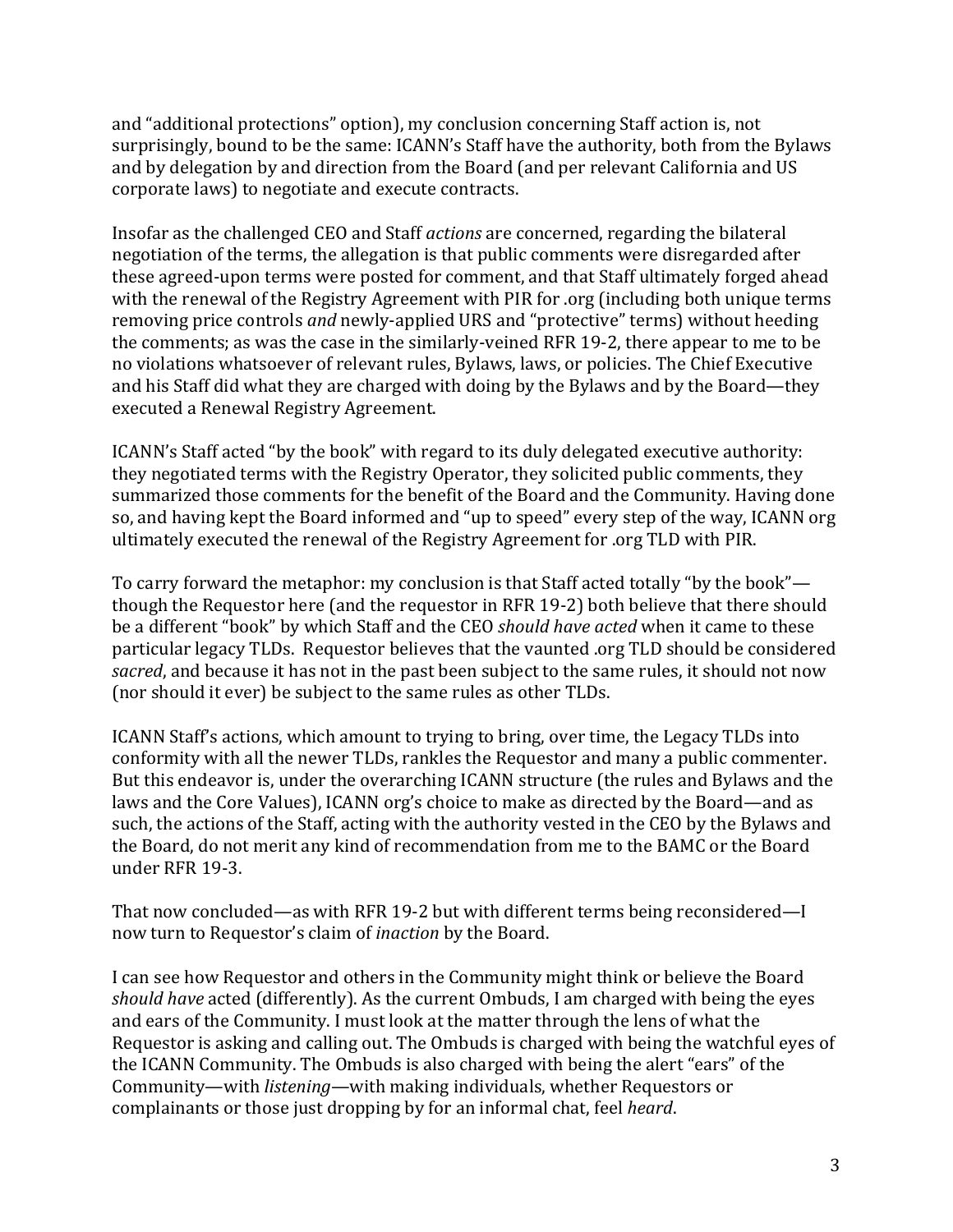and "additional protections" option), my conclusion concerning Staff action is, not surprisingly, bound to be the same: ICANN's Staff have the authority, both from the Bylaws and by delegation by and direction from the Board (and per relevant California and US corporate laws) to negotiate and execute contracts.

Insofar as the challenged CEO and Staff *actions* are concerned, regarding the bilateral negotiation of the terms, the allegation is that public comments were disregarded after these agreed-upon terms were posted for comment, and that Staff ultimately forged ahead with the renewal of the Registry Agreement with PIR for .org (including both unique terms removing price controls *and* newly-applied URS and "protective" terms) without heeding the comments; as was the case in the similarly-veined RFR 19-2, there appear to me to be no violations whatsoever of relevant rules, Bylaws, laws, or policies. The Chief Executive and his Staff did what they are charged with doing by the Bylaws and by the Board—they executed a Renewal Registry Agreement.

ICANN's Staff acted "by the book" with regard to its duly delegated executive authority: they negotiated terms with the Registry Operator, they solicited public comments, they summarized those comments for the benefit of the Board and the Community. Having done so, and having kept the Board informed and "up to speed" every step of the way, ICANN org ultimately executed the renewal of the Registry Agreement for .org TLD with PIR.

To carry forward the metaphor: my conclusion is that Staff acted totally "by the book" though the Requestor here (and the requestor in RFR 19-2) both believe that there should be a different "book" by which Staff and the CEO *should have acted* when it came to these particular legacy TLDs. Requestor believes that the vaunted .org TLD should be considered sacred, and because it has not in the past been subject to the same rules, it should not now (nor should it ever) be subject to the same rules as other TLDs.

ICANN Staff's actions, which amount to trying to bring, over time, the Legacy TLDs into conformity with all the newer TLDs, rankles the Requestor and many a public commenter. But this endeavor is, under the overarching ICANN structure (the rules and Bylaws and the laws and the Core Values), ICANN org's choice to make as directed by the Board—and as such, the actions of the Staff, acting with the authority vested in the CEO by the Bylaws and the Board, do not merit any kind of recommendation from me to the BAMC or the Board under RFR 19-3.

That now concluded—as with RFR 19-2 but with different terms being reconsidered—I now turn to Requestor's claim of *inaction* by the Board.

I can see how Requestor and others in the Community might think or believe the Board *should have* acted (differently). As the current Ombuds, I am charged with being the eyes and ears of the Community. I must look at the matter through the lens of what the Requestor is asking and calling out. The Ombuds is charged with being the watchful eyes of the ICANN Community. The Ombuds is also charged with being the alert "ears" of the Community—with *listening*—with making individuals, whether Requestors or complainants or those just dropping by for an informal chat, feel *heard*.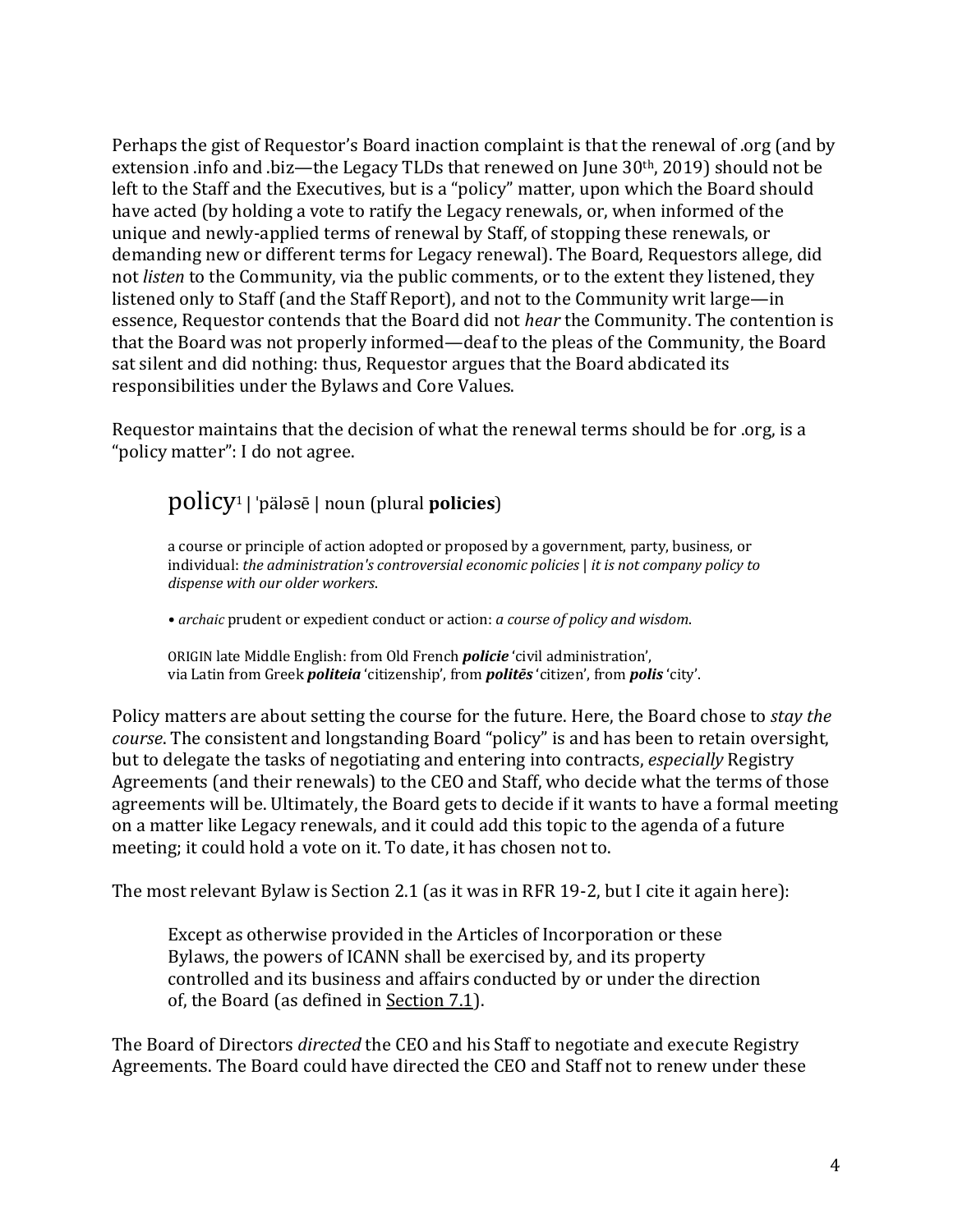Perhaps the gist of Requestor's Board inaction complaint is that the renewal of .org (and by extension .info and .biz—the Legacy TLDs that renewed on June  $30<sup>th</sup>$ , 2019) should not be left to the Staff and the Executives, but is a "policy" matter, upon which the Board should have acted (by holding a vote to ratify the Legacy renewals, or, when informed of the unique and newly-applied terms of renewal by Staff, of stopping these renewals, or demanding new or different terms for Legacy renewal). The Board, Requestors allege, did not *listen* to the Community, via the public comments, or to the extent they listened, they listened only to Staff (and the Staff Report), and not to the Community writ large—in essence, Requestor contends that the Board did not *hear* the Community. The contention is that the Board was not properly informed—deaf to the pleas of the Community, the Board sat silent and did nothing: thus, Requestor argues that the Board abdicated its responsibilities under the Bylaws and Core Values.

Requestor maintains that the decision of what the renewal terms should be for .org, is a "policy matter": I do not agree.

# policy1 | ˈpäləsē | noun (plural **policies**)

a course or principle of action adopted or proposed by a government, party, business, or individual: *the administration's controversial economic policies* | *it is not company policy to dispense with our older workers*.

• *archaic* prudent or expedient conduct or action: *a course of policy and wisdom*.

ORIGIN late Middle English: from Old French *policie* 'civil administration', via Latin from Greek *politeia* 'citizenship', from *politēs* 'citizen', from *polis* 'city'.

Policy matters are about setting the course for the future. Here, the Board chose to *stay the course*. The consistent and longstanding Board "policy" is and has been to retain oversight, but to delegate the tasks of negotiating and entering into contracts, *especially* Registry Agreements (and their renewals) to the CEO and Staff, who decide what the terms of those agreements will be. Ultimately, the Board gets to decide if it wants to have a formal meeting on a matter like Legacy renewals, and it could add this topic to the agenda of a future meeting; it could hold a vote on it. To date, it has chosen not to.

The most relevant Bylaw is Section 2.1 (as it was in RFR 19-2, but I cite it again here):

Except as otherwise provided in the Articles of Incorporation or these Bylaws, the powers of ICANN shall be exercised by, and its property controlled and its business and affairs conducted by or under the direction of, the Board (as defined in Section 7.1).

The Board of Directors *directed* the CEO and his Staff to negotiate and execute Registry Agreements. The Board could have directed the CEO and Staff not to renew under these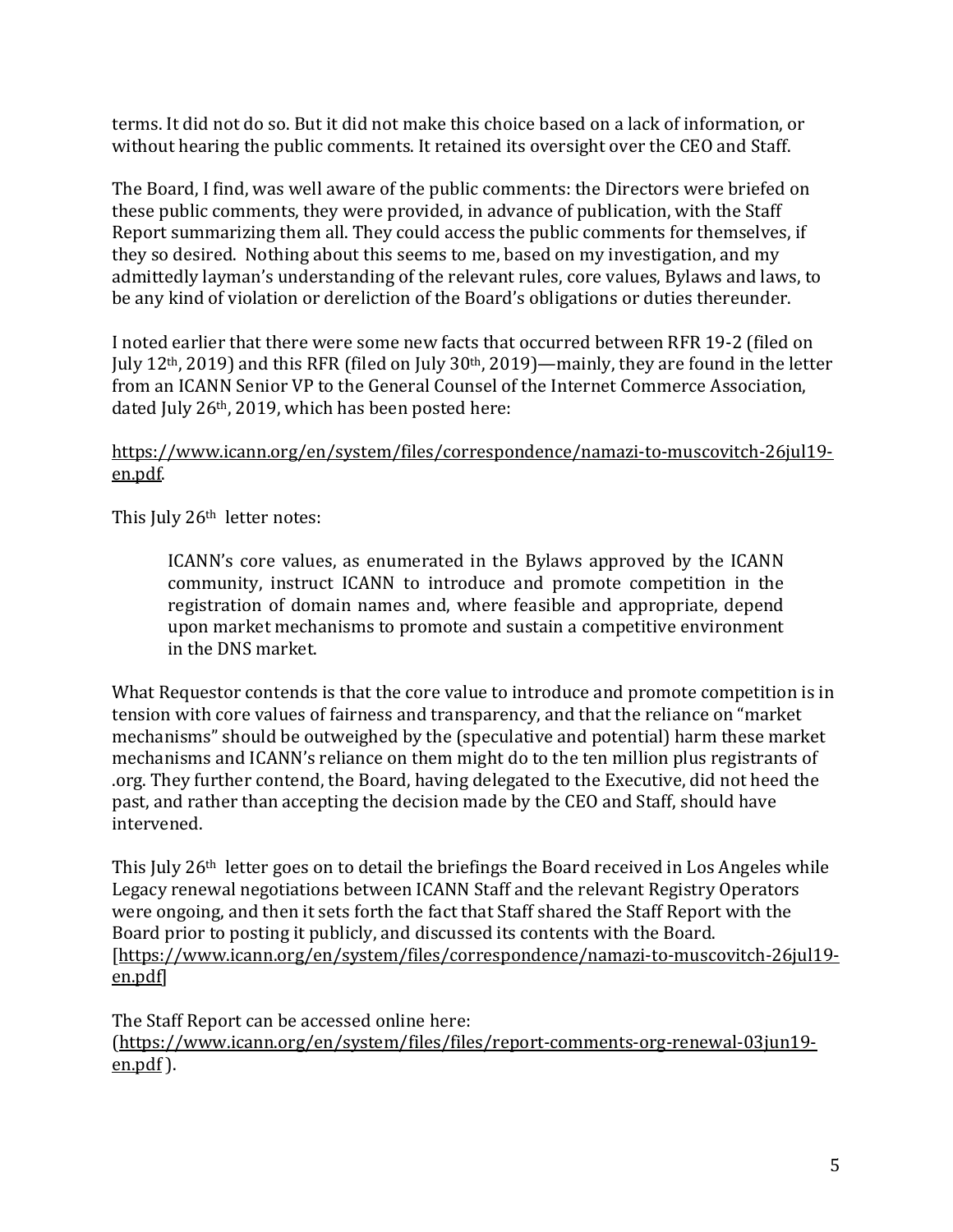terms. It did not do so. But it did not make this choice based on a lack of information, or without hearing the public comments. It retained its oversight over the CEO and Staff.

The Board, I find, was well aware of the public comments: the Directors were briefed on these public comments, they were provided, in advance of publication, with the Staff Report summarizing them all. They could access the public comments for themselves, if they so desired. Nothing about this seems to me, based on my investigation, and my admittedly layman's understanding of the relevant rules, core values, Bylaws and laws, to be any kind of violation or dereliction of the Board's obligations or duties thereunder.

I noted earlier that there were some new facts that occurred between RFR 19-2 (filed on July  $12<sup>th</sup>$ , 2019) and this RFR (filed on July  $30<sup>th</sup>$ , 2019)—mainly, they are found in the letter from an ICANN Senior VP to the General Counsel of the Internet Commerce Association, dated July  $26<sup>th</sup>$ , 2019, which has been posted here:

#### https://www.icann.org/en/system/files/correspondence/namazi-to-muscovitch-26jul19 en.pdf.

This July 26<sup>th</sup> letter notes:

ICANN's core values, as enumerated in the Bylaws approved by the ICANN community, instruct ICANN to introduce and promote competition in the registration of domain names and, where feasible and appropriate, depend upon market mechanisms to promote and sustain a competitive environment in the DNS market.

What Requestor contends is that the core value to introduce and promote competition is in tension with core values of fairness and transparency, and that the reliance on "market mechanisms" should be outweighed by the (speculative and potential) harm these market mechanisms and ICANN's reliance on them might do to the ten million plus registrants of org. They further contend, the Board, having delegated to the Executive, did not heed the past, and rather than accepting the decision made by the CEO and Staff, should have intervened.

This July  $26<sup>th</sup>$  letter goes on to detail the briefings the Board received in Los Angeles while Legacy renewal negotiations between ICANN Staff and the relevant Registry Operators were ongoing, and then it sets forth the fact that Staff shared the Staff Report with the Board prior to posting it publicly, and discussed its contents with the Board. [https://www.icann.org/en/system/files/correspondence/namazi-to-muscovitch-26jul19 en.pdf]

The Staff Report can be accessed online here: (https://www.icann.org/en/system/files/files/report-comments-org-renewal-03jun19 en.pdf ).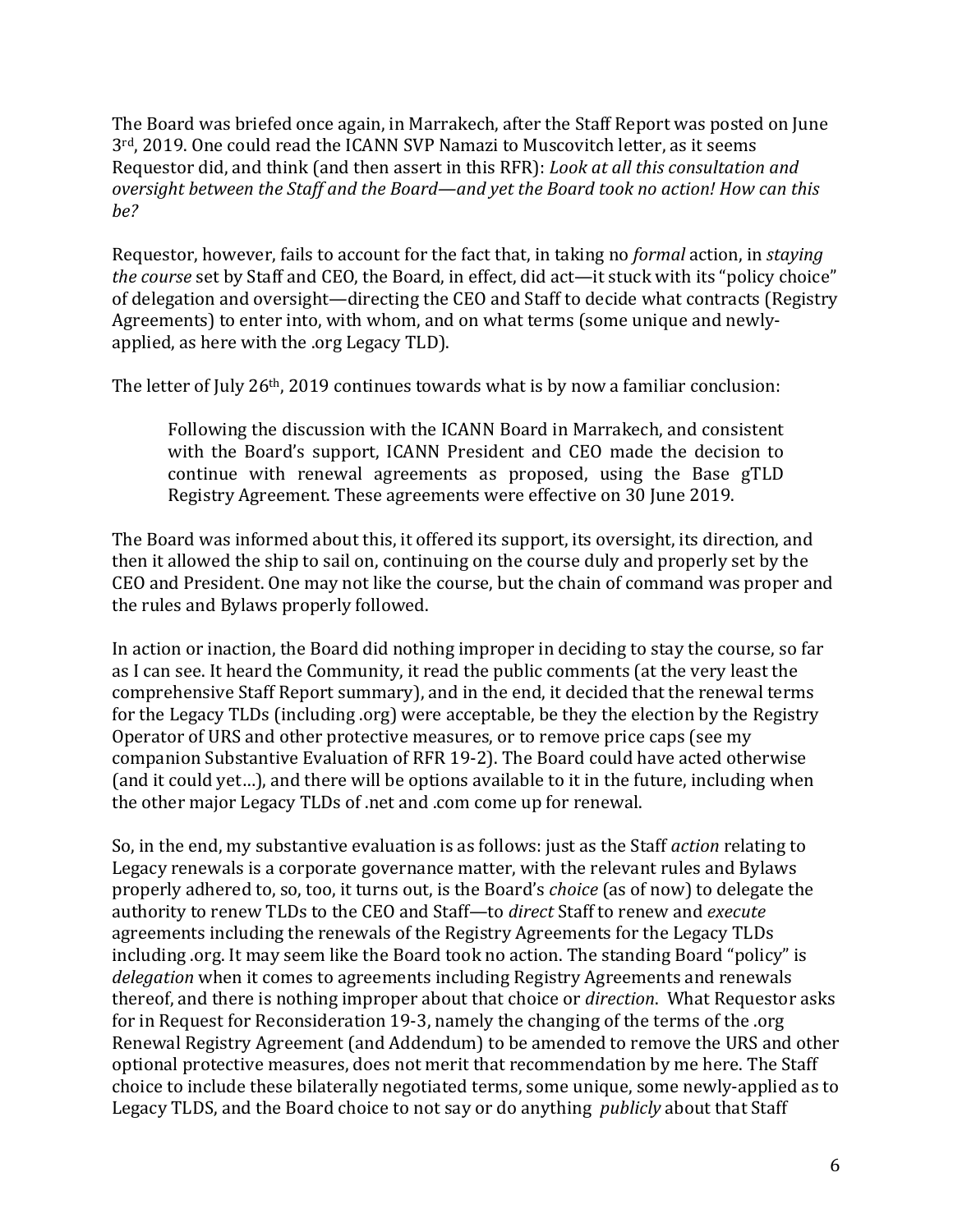The Board was briefed once again, in Marrakech, after the Staff Report was posted on June 3<sup>rd</sup>, 2019. One could read the ICANN SVP Namazi to Muscovitch letter, as it seems Requestor did, and think (and then assert in this RFR): *Look at all this consultation and oversight between the Staff and the Board—and vet the Board took no action! How can this be?*

Requestor, however, fails to account for the fact that, in taking no *formal* action, in *staying the course* set by Staff and CEO, the Board, in effect, did act—it stuck with its "policy choice" of delegation and oversight—directing the CEO and Staff to decide what contracts (Registry Agreements) to enter into, with whom, and on what terms (some unique and newlyapplied, as here with the .org Legacy TLD).

The letter of July  $26<sup>th</sup>$ , 2019 continues towards what is by now a familiar conclusion:

Following the discussion with the ICANN Board in Marrakech, and consistent with the Board's support, ICANN President and CEO made the decision to continue with renewal agreements as proposed, using the Base gTLD Registry Agreement. These agreements were effective on 30 June 2019.

The Board was informed about this, it offered its support, its oversight, its direction, and then it allowed the ship to sail on, continuing on the course duly and properly set by the CEO and President. One may not like the course, but the chain of command was proper and the rules and Bylaws properly followed.

In action or inaction, the Board did nothing improper in deciding to stay the course, so far as I can see. It heard the Community, it read the public comments (at the very least the comprehensive Staff Report summary), and in the end, it decided that the renewal terms for the Legacy TLDs (including .org) were acceptable, be they the election by the Registry Operator of URS and other protective measures, or to remove price caps (see my companion Substantive Evaluation of RFR 19-2). The Board could have acted otherwise (and it could yet...), and there will be options available to it in the future, including when the other major Legacy TLDs of .net and .com come up for renewal.

So, in the end, my substantive evaluation is as follows: just as the Staff *action* relating to Legacy renewals is a corporate governance matter, with the relevant rules and Bylaws properly adhered to, so, too, it turns out, is the Board's *choice* (as of now) to delegate the authority to renew TLDs to the CEO and Staff- to *direct* Staff to renew and *execute* agreements including the renewals of the Registry Agreements for the Legacy TLDs including .org. It may seem like the Board took no action. The standing Board "policy" is *delegation* when it comes to agreements including Registry Agreements and renewals thereof, and there is nothing improper about that choice or *direction*. What Requestor asks for in Request for Reconsideration 19-3, namely the changing of the terms of the .org Renewal Registry Agreement (and Addendum) to be amended to remove the URS and other optional protective measures, does not merit that recommendation by me here. The Staff choice to include these bilaterally negotiated terms, some unique, some newly-applied as to Legacy TLDS, and the Board choice to not say or do anything *publicly* about that Staff